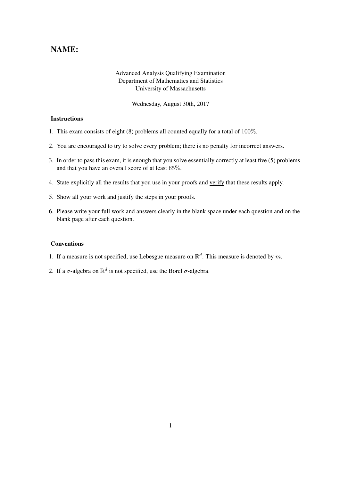## NAME:

## Advanced Analysis Qualifying Examination Department of Mathematics and Statistics University of Massachusetts

Wednesday, August 30th, 2017

## Instructions

- 1. This exam consists of eight (8) problems all counted equally for a total of 100%.
- 2. You are encouraged to try to solve every problem; there is no penalty for incorrect answers.
- 3. In order to pass this exam, it is enough that you solve essentially correctly at least five (5) problems and that you have an overall score of at least 65%.
- 4. State explicitly all the results that you use in your proofs and verify that these results apply.
- 5. Show all your work and justify the steps in your proofs.
- 6. Please write your full work and answers clearly in the blank space under each question and on the blank page after each question.

## Conventions

- 1. If a measure is not specified, use Lebesgue measure on  $\mathbb{R}^d$ . This measure is denoted by m.
- 2. If a  $\sigma$ -algebra on  $\mathbb{R}^d$  is not specified, use the Borel  $\sigma$ -algebra.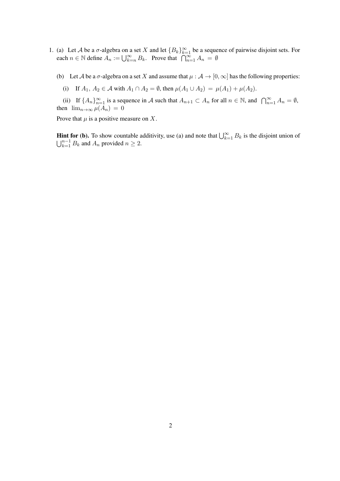- 1. (a) Let A be a  $\sigma$ -algebra on a set X and let  ${B_k}_{k=1}^{\infty}$  be a sequence of pairwise disjoint sets. For each  $n \in \mathbb{N}$  define  $A_n := \bigcup_{k=n}^{\infty} B_k$ . Prove that  $\bigcap_{n=1}^{\infty} A_n = \emptyset$ 
	- (b) Let A be a  $\sigma$ -algebra on a set X and assume that  $\mu : A \to [0, \infty]$  has the following properties:
		- (i) If  $A_1, A_2 \in \mathcal{A}$  with  $A_1 \cap A_2 = \emptyset$ , then  $\mu(A_1 \cup A_2) = \mu(A_1) + \mu(A_2)$ .

(ii) If  $\{A_n\}_{n=1}^{\infty}$  is a sequence in A such that  $A_{n+1} \subset A_n$  for all  $n \in \mathbb{N}$ , and  $\bigcap_{n=1}^{\infty} A_n = \emptyset$ , then  $\lim_{n\to\infty}\mu(A_n)=0$ 

Prove that  $\mu$  is a positive measure on X.

**Hint for (b).** To show countable additivity, use (a) and note that  $\bigcup_{k=1}^{\infty} B_k$  is the disjoint union of  $\bigcup_{k=1}^{n-1} B_k$  and  $A_n$  provided  $n \geq 2$ .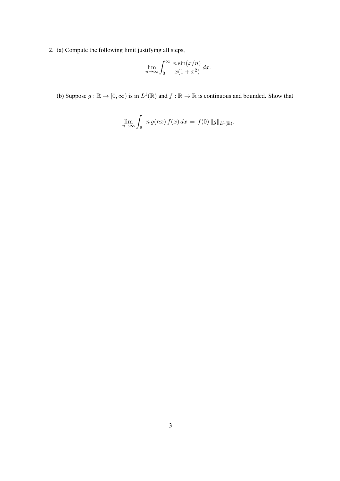2. (a) Compute the following limit justifying all steps,

$$
\lim_{n \to \infty} \int_0^\infty \frac{n \sin(x/n)}{x(1+x^2)} dx.
$$

(b) Suppose  $g : \mathbb{R} \to [0, \infty)$  is in  $L^1(\mathbb{R})$  and  $f : \mathbb{R} \to \mathbb{R}$  is continuous and bounded. Show that

$$
\lim_{n\to\infty}\int_{\mathbb{R}}\;n\,g(nx)\,f(x)\,dx\,=\,f(0)\,\|g\|_{L^1(\mathbb{R})}.
$$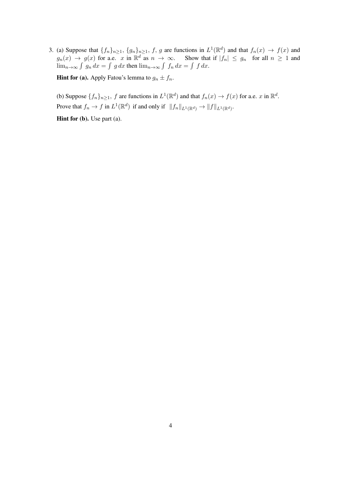3. (a) Suppose that  $\{f_n\}_{n\geq 1}$ ,  $\{g_n\}_{n\geq 1}$ , f, g are functions in  $L^1(\mathbb{R}^d)$  and that  $f_n(x) \to f(x)$  and  $g_n(x) \to g(x)$  for a.e. x in  $\mathbb{R}^d$  as  $n \to \infty$ . Show that if  $|f_n| \leq g_n$  for all  $n \geq 1$  and  $\lim_{n\to\infty}\int g_n dx = \int g dx$  then  $\lim_{n\to\infty}\int f_n dx = \int f dx$ .

**Hint for (a).** Apply Fatou's lemma to  $g_n \pm f_n$ .

(b) Suppose  $\{f_n\}_{n\geq 1}$ , f are functions in  $L^1(\mathbb{R}^d)$  and that  $f_n(x) \to f(x)$  for a.e. x in  $\mathbb{R}^d$ . Prove that  $f_n \to f$  in  $L^1(\mathbb{R}^d)$  if and only if  $||f_n||_{L^1(\mathbb{R}^d)} \to ||f||_{L^1(\mathbb{R}^d)}$ .

Hint for (b). Use part (a).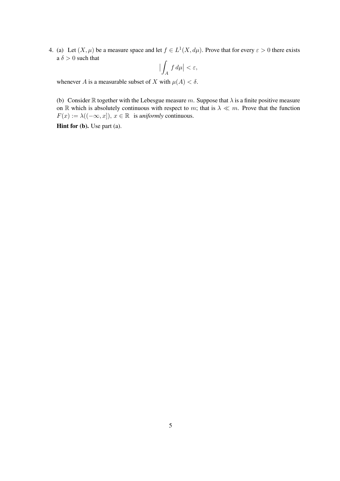4. (a) Let  $(X, \mu)$  be a measure space and let  $f \in L^1(X, d\mu)$ . Prove that for every  $\varepsilon > 0$  there exists a  $\delta > 0$  such that

$$
\left|\int_A f \, d\mu\right| < \varepsilon,
$$

whenever A is a measurable subset of X with  $\mu(A) < \delta$ .

(b) Consider R together with the Lebesgue measure m. Suppose that  $\lambda$  is a finite positive measure on R which is absolutely continuous with respect to m; that is  $\lambda \ll m$ . Prove that the function  $F(x) := \lambda((-\infty, x])$ ,  $x \in \mathbb{R}$  is *uniformly* continuous.

Hint for (b). Use part (a).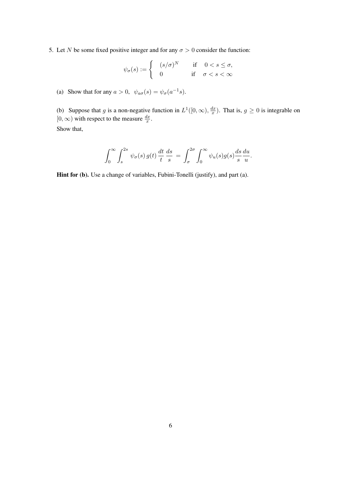5. Let N be some fixed positive integer and for any  $\sigma > 0$  consider the function:

$$
\psi_{\sigma}(s) := \begin{cases}\n(s/\sigma)^N & \text{if } 0 < s \le \sigma, \\
0 & \text{if } \sigma < s < \infty\n\end{cases}
$$

(a) Show that for any  $a > 0$ ,  $\psi_{a\sigma}(s) = \psi_{\sigma}(a^{-1}s)$ .

(b) Suppose that g is a non-negative function in  $L^1([0,\infty), \frac{dx}{dx}$  $\frac{dx}{x}$ ). That is,  $g \ge 0$  is integrable on  $[0, \infty)$  with respect to the measure  $\frac{dx}{x}$ . Show that,

$$
\int_0^\infty \int_s^{2s} \psi_\sigma(s) g(t) \frac{dt}{t} \frac{ds}{s} = \int_\sigma^{2\sigma} \int_0^\infty \psi_u(s) g(s) \frac{ds}{s} \frac{du}{u}.
$$

Hint for (b). Use a change of variables, Fubini-Tonelli (justify), and part (a).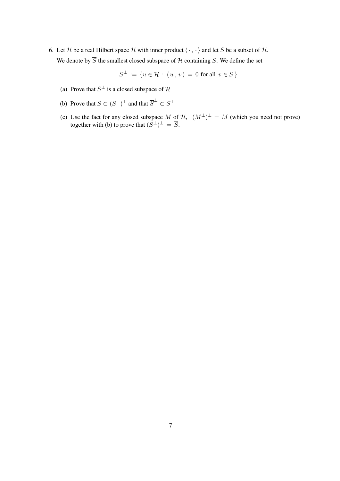6. Let H be a real Hilbert space H with inner product  $\langle \cdot, \cdot \rangle$  and let S be a subset of H. We denote by  $\overline{S}$  the smallest closed subspace of H containing S. We define the set

$$
S^{\perp} := \{ u \in \mathcal{H} : \langle u, v \rangle = 0 \text{ for all } v \in S \}
$$

- (a) Prove that  $S^{\perp}$  is a closed subspace of H
- (b) Prove that  $S \subset (S^{\perp})^{\perp}$  and that  $\overline{S}^{\perp} \subset S^{\perp}$
- (c) Use the fact for any closed subspace M of  $H$ ,  $(M^{\perp})^{\perp} = M$  (which you need not prove) together with (b) to prove that  $(S^{\perp})^{\perp} = \overline{S}$ .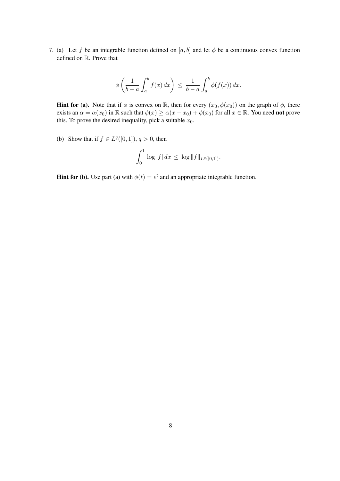7. (a) Let f be an integrable function defined on [a, b] and let  $\phi$  be a continuous convex function defined on R. Prove that

$$
\phi\left(\frac{1}{b-a}\int_a^b f(x)\,dx\right) \leq \frac{1}{b-a}\int_a^b \phi(f(x))\,dx.
$$

**Hint for (a).** Note that if  $\phi$  is convex on R, then for every  $(x_0, \phi(x_0))$  on the graph of  $\phi$ , there exists an  $\alpha = \alpha(x_0)$  in R such that  $\phi(x) \geq \alpha(x - x_0) + \phi(x_0)$  for all  $x \in \mathbb{R}$ . You need **not** prove this. To prove the desired inequality, pick a suitable  $x_0$ .

(b) Show that if  $f \in L^q([0,1])$ ,  $q > 0$ , then

$$
\int_0^1 \log |f| \, dx \, \leq \, \log \|f\|_{L^q([0,1])}.
$$

**Hint for (b).** Use part (a) with  $\phi(t) = e^t$  and an appropriate integrable function.